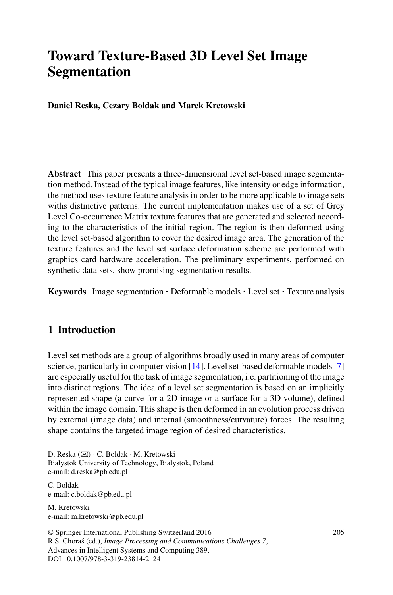# **Toward Texture-Based 3D Level Set Image Segmentation**

**Daniel Reska, Cezary Boldak and Marek Kretowski**

**Abstract** This paper presents a three-dimensional level set-based image segmentation method. Instead of the typical image features, like intensity or edge information, the method uses texture feature analysis in order to be more applicable to image sets withs distinctive patterns. The current implementation makes use of a set of Grey Level Co-occurrence Matrix texture features that are generated and selected according to the characteristics of the initial region. The region is then deformed using the level set-based algorithm to cover the desired image area. The generation of the texture features and the level set surface deformation scheme are performed with graphics card hardware acceleration. The preliminary experiments, performed on synthetic data sets, show promising segmentation results.

**Keywords** Image segmentation · Deformable models · Level set · Texture analysis

## **1 Introduction**

Level set methods are a group of algorithms broadly used in many areas of computer science, particularly in computer vision [\[14](#page-6-0)]. Level set-based deformable models [\[7\]](#page-6-1) are especially useful for the task of image segmentation, i.e. partitioning of the image into distinct regions. The idea of a level set segmentation is based on an implicitly represented shape (a curve for a 2D image or a surface for a 3D volume), defined within the image domain. This shape is then deformed in an evolution process driven by external (image data) and internal (smoothness/curvature) forces. The resulting shape contains the targeted image region of desired characteristics.

D. Reska *(*B*)* · C. Boldak · M. Kretowski

Bialystok University of Technology, Bialystok, Poland e-mail: d.reska@pb.edu.pl

C. Boldak e-mail: c.boldak@pb.edu.pl

M. Kretowski e-mail: m.kretowski@pb.edu.pl

© Springer International Publishing Switzerland 2016 R.S. Chora´s (ed.), *Image Processing and Communications Challenges 7*, Advances in Intelligent Systems and Computing 389, DOI 10.1007/978-3-319-23814-2\_24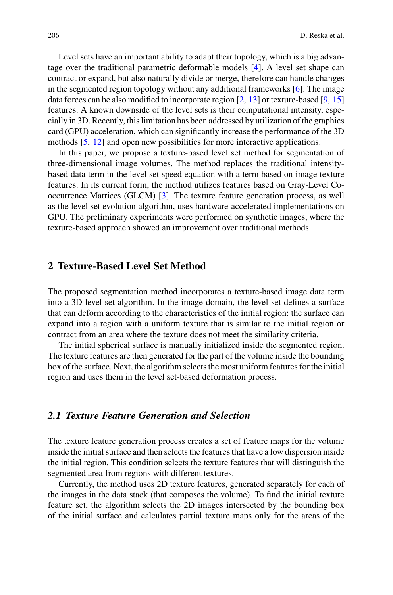Level sets have an important ability to adapt their topology, which is a big advantage over the traditional parametric deformable models [\[4](#page-6-2)]. A level set shape can contract or expand, but also naturally divide or merge, therefore can handle changes in the segmented region topology without any additional frameworks [\[6](#page-6-3)]. The image data forces can be also modified to incorporate region [\[2,](#page-6-4) [13\]](#page-6-5) or texture-based [\[9,](#page-6-6) [15\]](#page-6-7) features. A known downside of the level sets is their computational intensity, especially in 3D. Recently, this limitation has been addressed by utilization of the graphics card (GPU) acceleration, which can significantly increase the performance of the 3D methods [\[5](#page-6-8), [12\]](#page-6-9) and open new possibilities for more interactive applications.

In this paper, we propose a texture-based level set method for segmentation of three-dimensional image volumes. The method replaces the traditional intensitybased data term in the level set speed equation with a term based on image texture features. In its current form, the method utilizes features based on Gray-Level Cooccurrence Matrices (GLCM) [\[3\]](#page-6-10). The texture feature generation process, as well as the level set evolution algorithm, uses hardware-accelerated implementations on GPU. The preliminary experiments were performed on synthetic images, where the texture-based approach showed an improvement over traditional methods.

#### **2 Texture-Based Level Set Method**

The proposed segmentation method incorporates a texture-based image data term into a 3D level set algorithm. In the image domain, the level set defines a surface that can deform according to the characteristics of the initial region: the surface can expand into a region with a uniform texture that is similar to the initial region or contract from an area where the texture does not meet the similarity criteria.

The initial spherical surface is manually initialized inside the segmented region. The texture features are then generated for the part of the volume inside the bounding box of the surface. Next, the algorithm selects the most uniform features for the initial region and uses them in the level set-based deformation process.

#### *2.1 Texture Feature Generation and Selection*

The texture feature generation process creates a set of feature maps for the volume inside the initial surface and then selects the features that have a low dispersion inside the initial region. This condition selects the texture features that will distinguish the segmented area from regions with different textures.

Currently, the method uses 2D texture features, generated separately for each of the images in the data stack (that composes the volume). To find the initial texture feature set, the algorithm selects the 2D images intersected by the bounding box of the initial surface and calculates partial texture maps only for the areas of the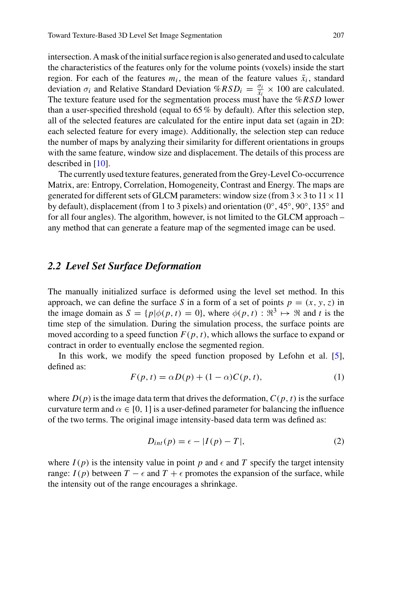intersection. A mask of the initial surface region is also generated and used to calculate the characteristics of the features only for the volume points (voxels) inside the start region. For each of the features  $m_i$ , the mean of the feature values  $\bar{x}_i$ , standard deviation  $\sigma_i$  and Relative Standard Deviation  $\% RSD_i = \frac{\sigma_i}{\lambda_i} \times 100$  are calculated. The texture feature used for the segmentation process must have the %*RSD* lower than a user-specified threshold (equal to 65% by default). After this selection step, all of the selected features are calculated for the entire input data set (again in 2D: each selected feature for every image). Additionally, the selection step can reduce the number of maps by analyzing their similarity for different orientations in groups with the same feature, window size and displacement. The details of this process are described in [\[10\]](#page-6-11).

The currently used texture features, generated from the Grey-Level Co-occurrence Matrix, are: Entropy, Correlation, Homogeneity, Contrast and Energy. The maps are generated for different sets of GLCM parameters: window size (from  $3 \times 3$  to  $11 \times 11$ ) by default), displacement (from 1 to 3 pixels) and orientation  $(0°, 45°, 90°, 135°)$  and for all four angles). The algorithm, however, is not limited to the GLCM approach – any method that can generate a feature map of the segmented image can be used.

#### *2.2 Level Set Surface Deformation*

The manually initialized surface is deformed using the level set method. In this approach, we can define the surface *S* in a form of a set of points  $p = (x, y, z)$  in the image domain as  $S = {p | \phi(p, t) = 0}$ , where  $\phi(p, t) : \mathbb{R}^3 \mapsto \mathbb{R}$  and t is the time step of the simulation. During the simulation process, the surface points are moved according to a speed function  $F(p, t)$ , which allows the surface to expand or contract in order to eventually enclose the segmented region.

In this work, we modify the speed function proposed by Lefohn et al. [\[5](#page-6-8)], defined as:

$$
F(p,t) = \alpha D(p) + (1 - \alpha)C(p,t),\tag{1}
$$

<span id="page-2-0"></span>where  $D(p)$  is the image data term that drives the deformation,  $C(p, t)$  is the surface curvature term and  $\alpha \in [0, 1]$  is a user-defined parameter for balancing the influence of the two terms. The original image intensity-based data term was defined as:

$$
D_{int}(p) = \epsilon - |I(p) - T|,
$$
\n(2)

where  $I(p)$  is the intensity value in point p and  $\epsilon$  and T specify the target intensity range:  $I(p)$  between  $T - \epsilon$  and  $T + \epsilon$  promotes the expansion of the surface, while the intensity out of the range encourages a shrinkage.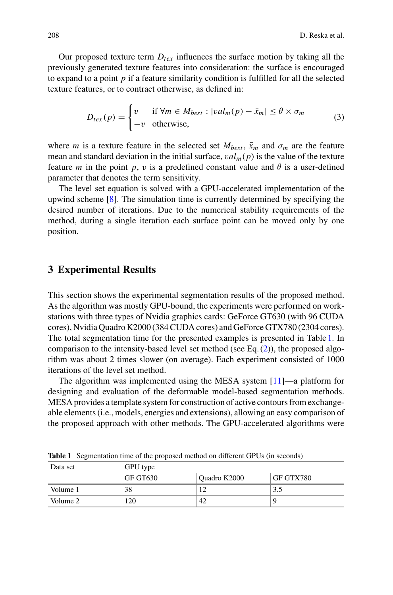Our proposed texture term  $D_{text}$  influences the surface motion by taking all the previously generated texture features into consideration: the surface is encouraged to expand to a point *p* if a feature similarity condition is fulfilled for all the selected texture features, or to contract otherwise, as defined in:

$$
D_{tex}(p) = \begin{cases} v & \text{if } \forall m \in M_{best} : |val_m(p) - \bar{x}_m| \le \theta \times \sigma_m \\ -v & \text{otherwise,} \end{cases}
$$
(3)

where *m* is a texture feature in the selected set  $M_{best}$ ,  $\bar{x}_m$  and  $\sigma_m$  are the feature mean and standard deviation in the initial surface,  $val_m(p)$  is the value of the texture feature *m* in the point *p*, *v* is a predefined constant value and  $\theta$  is a user-defined parameter that denotes the term sensitivity.

The level set equation is solved with a GPU-accelerated implementation of the upwind scheme [\[8](#page-6-12)]. The simulation time is currently determined by specifying the desired number of iterations. Due to the numerical stability requirements of the method, during a single iteration each surface point can be moved only by one position.

### **3 Experimental Results**

This section shows the experimental segmentation results of the proposed method. As the algorithm was mostly GPU-bound, the experiments were performed on workstations with three types of Nvidia graphics cards: GeForce GT630 (with 96 CUDA cores), Nvidia Quadro K2000 (384 CUDA cores) and GeForce GTX780 (2304 cores). The total segmentation time for the presented examples is presented in Table [1.](#page-3-0) In comparison to the intensity-based level set method (see Eq.  $(2)$ ), the proposed algorithm was about 2 times slower (on average). Each experiment consisted of 1000 iterations of the level set method.

The algorithm was implemented using the MESA system [\[11](#page-6-13)]—a platform for designing and evaluation of the deformable model-based segmentation methods. MESA provides a template system for construction of active contours from exchangeable elements (i.e., models, energies and extensions), allowing an easy comparison of the proposed approach with other methods. The GPU-accelerated algorithms were

| Data set | GPU type |              |           |
|----------|----------|--------------|-----------|
|          | GF GT630 | Quadro K2000 | GF GTX780 |
| Volume 1 | 38       |              | 3.5       |
| Volume 2 | .20      | 42           |           |

<span id="page-3-0"></span>**Table 1** Segmentation time of the proposed method on different GPUs (in seconds)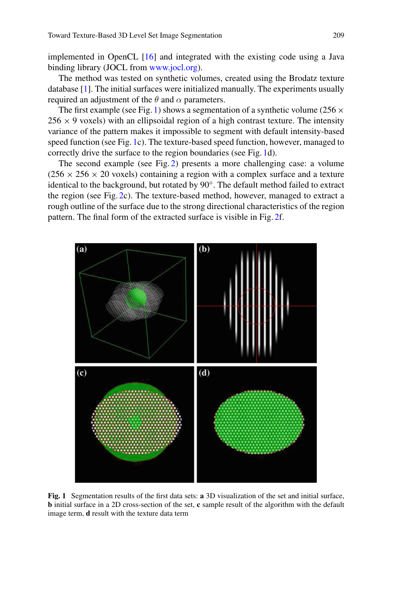implemented in OpenCL [\[16\]](#page-6-14) and integrated with the existing code using a Java binding library (JOCL from [www.jocl.org\)](www.jocl.org).

The method was tested on synthetic volumes, created using the Brodatz texture database [\[1](#page-6-15)]. The initial surfaces were initialized manually. The experiments usually required an adjustment of the  $\theta$  and  $\alpha$  parameters.

The first example (see Fig. [1\)](#page-4-0) shows a segmentation of a synthetic volume (256  $\times$  $256 \times 9$  voxels) with an ellipsoidal region of a high contrast texture. The intensity variance of the pattern makes it impossible to segment with default intensity-based speed function (see Fig. [1c](#page-4-0)). The texture-based speed function, however, managed to correctly drive the surface to the region boundaries (see Fig. [1d](#page-4-0)).

The second example (see Fig. [2\)](#page-5-0) presents a more challenging case: a volume  $(256 \times 256 \times 20$  voxels) containing a region with a complex surface and a texture identical to the background, but rotated by 90◦. The default method failed to extract the region (see Fig. [2c](#page-5-0)). The texture-based method, however, managed to extract a rough outline of the surface due to the strong directional characteristics of the region pattern. The final form of the extracted surface is visible in Fig. [2f](#page-5-0).



<span id="page-4-0"></span>**Fig. 1** Segmentation results of the first data sets: **a** 3D visualization of the set and initial surface, **b** initial surface in a 2D cross-section of the set, **c** sample result of the algorithm with the default image term, **d** result with the texture data term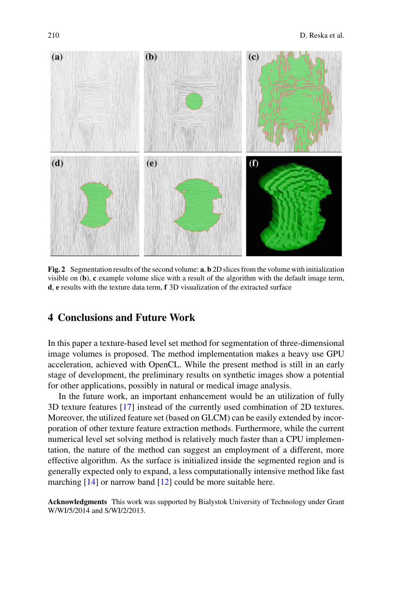

**Fig. 2** Segmentation results of the second volume: **a**, **b** 2D slices from the volume with initialization visible on (**b**), **c** example volume slice with a result of the algorithm with the default image term, **d**, **e** results with the texture data term, **f** 3D visualization of the extracted surface

## <span id="page-5-0"></span>**4 Conclusions and Future Work**

In this paper a texture-based level set method for segmentation of three-dimensional image volumes is proposed. The method implementation makes a heavy use GPU acceleration, achieved with OpenCL. While the present method is still in an early stage of development, the preliminary results on synthetic images show a potential for other applications, possibly in natural or medical image analysis.

In the future work, an important enhancement would be an utilization of fully 3D texture features [\[17](#page-6-16)] instead of the currently used combination of 2D textures. Moreover, the utilized feature set (based on GLCM) can be easily extended by incorporation of other texture feature extraction methods. Furthermore, while the current numerical level set solving method is relatively much faster than a CPU implementation, the nature of the method can suggest an employment of a different, more effective algorithm. As the surface is initialized inside the segmented region and is generally expected only to expand, a less computationally intensive method like fast marching [\[14\]](#page-6-0) or narrow band [\[12](#page-6-9)] could be more suitable here.

**Acknowledgments** This work was supported by Bialystok University of Technology under Grant W/WI/5/2014 and S/WI/2/2013.